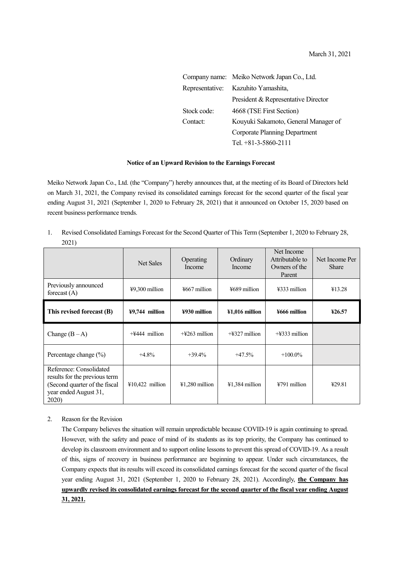|             | Company name: Meiko Network Japan Co., Ltd. |  |  |  |
|-------------|---------------------------------------------|--|--|--|
|             | Representative: Kazuhito Yamashita,         |  |  |  |
|             | President & Representative Director         |  |  |  |
| Stock code: | 4668 (TSE First Section)                    |  |  |  |
| Contact:    | Kouyuki Sakamoto, General Manager of        |  |  |  |
|             | Corporate Planning Department               |  |  |  |
|             | Tel. $+81-3-5860-2111$                      |  |  |  |

## **Notice of an Upward Revision to the Earnings Forecast**

Meiko Network Japan Co., Ltd. (the "Company") hereby announces that, at the meeting of its Board of Directors held on March 31, 2021, the Company revised its consolidated earnings forecast for the second quarter of the fiscal year ending August 31, 2021 (September 1, 2020 to February 28, 2021) that it announced on October 15, 2020 based on recent business performance trends.

1. Revised Consolidated Earnings Forecast for the Second Quarter of This Term (September 1, 2020 to February 28, 2021)

|                                                                                                                             | <b>Net Sales</b>  | Operating<br>Income          | Ordinary<br>Income          | Net Income<br>Attributable to<br>Owners of the<br>Parent | Net Income Per<br><b>Share</b> |
|-----------------------------------------------------------------------------------------------------------------------------|-------------------|------------------------------|-----------------------------|----------------------------------------------------------|--------------------------------|
| Previously announced<br>forecast $(A)$                                                                                      | $49,300$ million  | $\frac{15667}{1000}$ million | $\frac{15689}{100}$ million | ¥333 million                                             | ¥13.28                         |
| This revised forecast (B)                                                                                                   | $49,744$ million  | ¥930 million                 | $41,016$ million            | ¥666 million                                             | 426.57                         |
| Change $(B-A)$                                                                                                              | $+4444$ million   | $+4263$ million              | $+4327$ million             | $+4333$ million                                          |                                |
| Percentage change $(\%)$                                                                                                    | $+4.8%$           | $+39.4%$                     | $+47.5%$                    | $+100.0\%$                                               |                                |
| Reference: Consolidated<br>results for the previous term<br>(Second quarter of the fiscal<br>year ended August 31,<br>2020) | $¥10,422$ million | $41,280$ million             | $41,384$ million            | ¥791 million                                             | ¥29.81                         |

## 2. Reason for the Revision

The Company believes the situation will remain unpredictable because COVID-19 is again continuing to spread. However, with the safety and peace of mind of its students as its top priority, the Company has continued to develop its classroom environment and to support online lessons to prevent this spread of COVID-19. As a result of this, signs of recovery in business performance are beginning to appear. Under such circumstances, the Company expects that its results will exceed its consolidated earnings forecast for the second quarter of the fiscal year ending August 31, 2021 (September 1, 2020 to February 28, 2021). Accordingly, **the Company has upwardly revised its consolidated earnings forecast for the second quarter of the fiscal year ending August 31, 2021.**